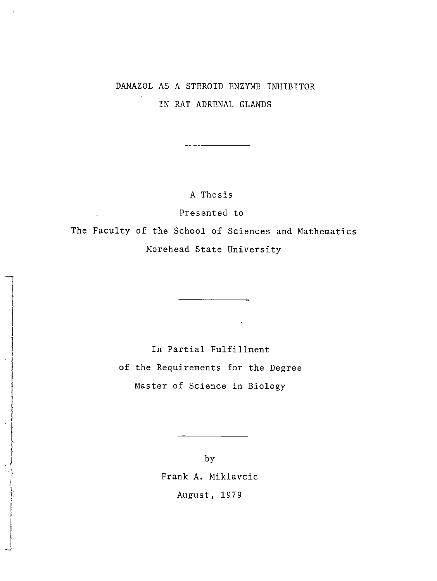# DANAZOL AS A STEROID ENZYME INHIBITOR IN RAT ADRENAL GLANDS

A Thesis

Presented to

The Faculty of the School of Sciences and Mathematics Morehead State University

> In Partial Fulfillment of the Requirements for the Degree Master of Science in Biology

> > by Frank A. Miklavcic August, 1979

I I. I.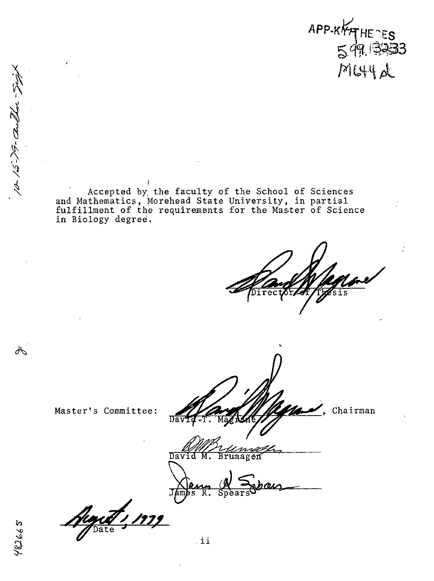**APP-KATHETES** MLSHAL

Accepted by the faculty of the School of Sciences and Mathematics, Morehead State University, in partial fulfillment of the requirements for the Master of Science in Biology degree.

 $\overline{\mathrm{Dav}}$ 

Chairman

Master's Committee:

l*immezi*<br>Brumagen David

Regist 1,

ďЬ

10-15-79- author 54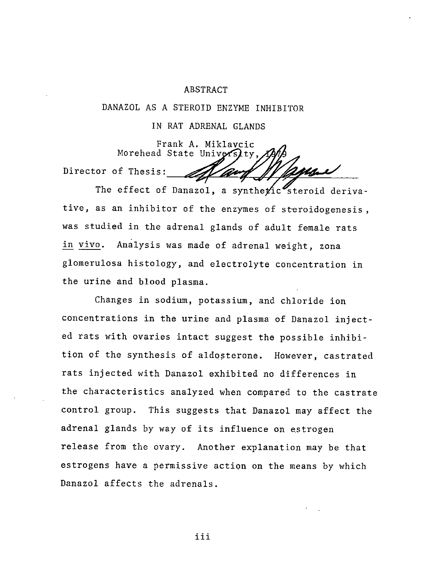#### ABSTRACT

DANAZOL AS A STEROID ENZYME INHIBITOR

IN RAT ADRENAL GLANDS

Frank A. Miklavcic Morehead State University, Director of Thesis:

The effect of Danazol, a synthe $\gamma$ ic steroid derivative, as an inhibitor of the enzymes of steroidogenesis, was studied in the adrenal glands of adult female rats in vivo. Analysis was made of adrenal weight, zona glomerulosa histology, and electrolyte concentration in the urine and blood plasma.

Changes in sodium, potassium, and chloride ion concentrations in the urine and plasma of Danazol injected rats with ovaries intact suggest the possible inhibition of the synthesis of aldosterone. However, castrated rats injected with Danazol exhibited no differences in the characteristics analyzed when compared to the castrate control group. This suggests that Danazol may affect the adrenal glands by way of its influence on estrogen release from the ovary. Another explanation may be that estrogens have a permissive action on the means by which Danazol affects the adrenals.

iii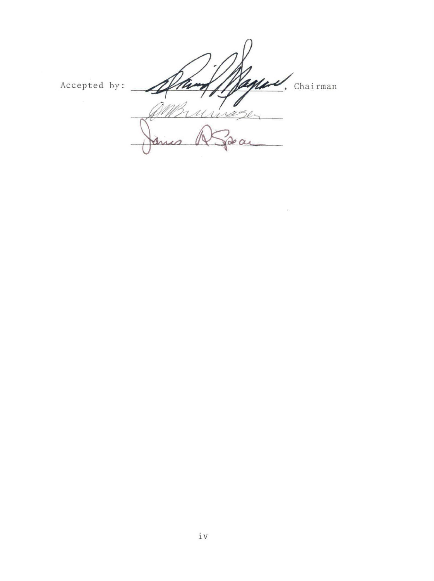Accepted by: Chairman ura  $\alpha$ 

 $\epsilon$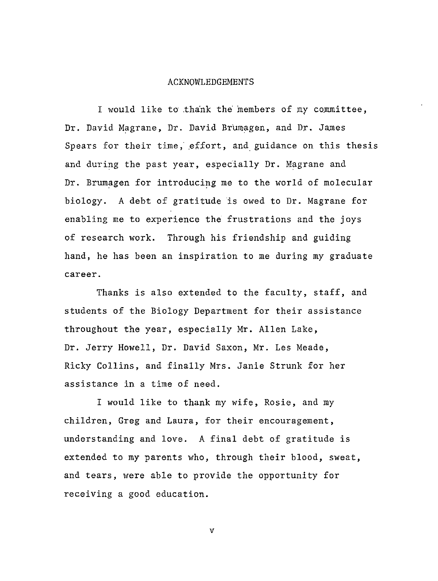#### ACKNOWLEDGEMENTS

I would like to .thank the members of my committee, Dr. David Magrane, Dr. David Brumagen, and Dr. James Spears for their time, effort, and guidance on this thesis and during the past year, especially Dr. Magrane and Dr. Brumagen for introducing me to the world of molecular biology. A debt of gratitude is owed to Dr. Magrane for enabling me to experience the frustrations and the joys of research work. Through his friendship and guiding hand, he has been an inspiration to me during my graduate career.

Thanks is also extended to the faculty, staff, and students of the Biology Department for their assistance throughout the year, especially Mr. Allen Lake, Dr. Jerry Howell, Dr. David Saxon, Mr. Les Meade, Ricky Collins, and finally Mrs. Janie Strunk for her assistance in a time of need.

I would like to thank my wife, Rosie, and my children, Greg and Laura, for their encouragement, understanding and love. A final debt of gratitude is extended to my parents who, through their blood, sweat, and tears, were able to provide the opportunity for receiving a good education.

 $\mathbf{v}$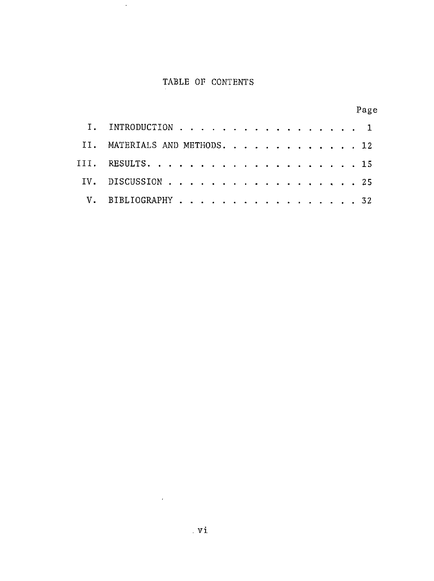# TABLE OF CONTENTS

 $\sim 10$ 

|                               | Page |
|-------------------------------|------|
| INTRODUCTION 1                |      |
| II. MATERIALS AND METHODS. 12 |      |
| III. RESULTS. 15              |      |
| IV. DISCUSSION 25             |      |
| V. BIBLIOGRAPHY 32            |      |

 $\mathcal{L}^{\text{max}}_{\text{max}}$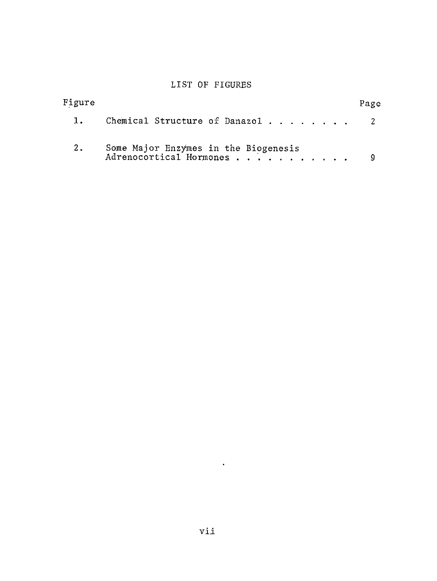## LIST OF FIGURES

| Figure |                                                                 | Page |
|--------|-----------------------------------------------------------------|------|
| 1.     | Chemical Structure of Danazol 2                                 |      |
| 2.     | Some Major Enzymes in the Biogenesis<br>Adrenocortical Hormones |      |

 $\sim 10^{-10}$  km  $^{-1}$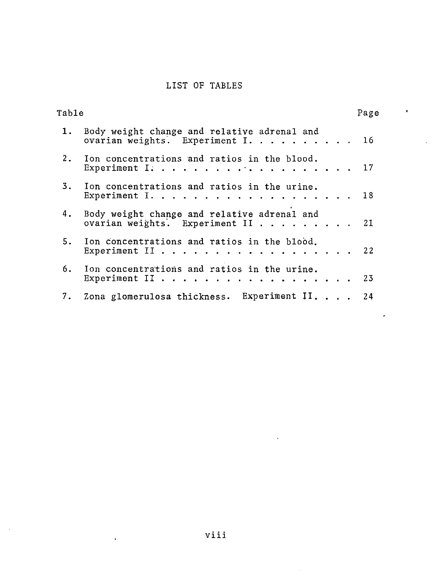# LIST OF TABLES

| Table |                                                                                     | Page |
|-------|-------------------------------------------------------------------------------------|------|
|       | 1. Body weight change and relative adrenal and<br>ovarian weights. Experiment I. 16 |      |
|       | 2. Ion concentrations and ratios in the blood.<br>Experiment I. 17                  |      |
|       | 3. Ion concentrations and ratios in the urine.<br>Experiment $1.$                   |      |
| 4.    | Body weight change and relative adrenal and<br>ovarian weights. Experiment II 21    |      |
|       | 5. Ion concentrations and ratios in the blood.<br>Experiment II 22                  |      |
|       | 6. Ion concentrations and ratios in the urine.<br>Experiment II 23                  |      |
|       | 7. Zona glomerulosa thickness. Experiment II. 24                                    |      |
|       |                                                                                     |      |

 $\overline{\phantom{a}}$ 

 $\ddot{\phantom{a}}$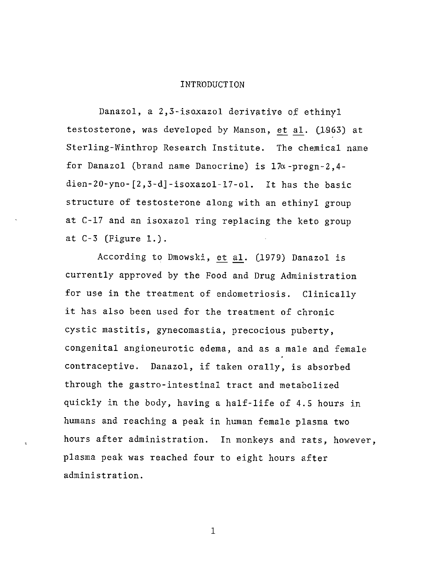#### INTRODUCTION

Danazol, a 2,3-isoxazol derivative of ethinyl testosterone, was developed by Manson, et al. (1963) at Sterling-Winthrop Research Institute. The chemical name for Danazol (brand name Danocrine) is 17a-pregn-2,4 dien-20-yno-[2,3-d]-isoxazol-17-ol. It has the basic structure of testosterone along with an ethinyl group at C-17 and an isoxazol ring replacing the keto group at C-3 (Figure 1.).

According to Dmowski, et al. (1979) Danazol is currently approved by the Food and Drug Administration for use in the treatment of endometriosis. Clinically it has also been used for the treatment of chronic cystic mastitis, gynecomastia, precocious puberty, congenital angioneurotic edema, and as a male and female contraceptive. Danazol, if taken orally, is absorbed through the gastro-intestinal tract and metabolized quickly in the body, having a half-life of 4.5 hours in humans and reaching a peak in human female plasma two hours after administration. In monkeys and rats, however, plasma peak was reached four to eight hours after administration.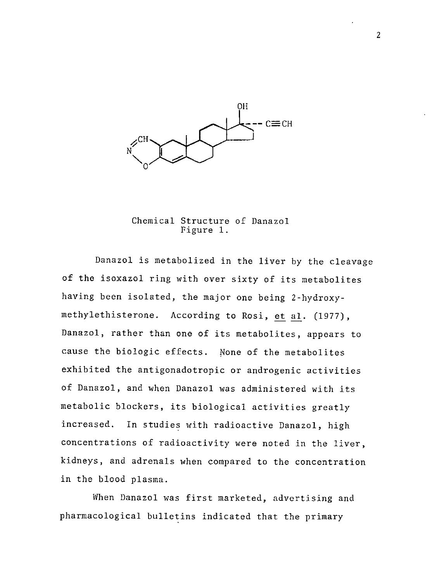

Chemical Structure of Danazol Figure 1.

Danazol is metabolized in the liver by the cleavage of the isoxazol ring with over sixty of its metabolites having been isolated, the major one being 2-hydroxymethylethisterone. According to Rosi, et al. (1977), Danazol, rather than one of its metabolites, appears to cause the biologic effects. None of the metabolites exhibited the antigonadotropic or androgenic activities of Danazol, and when Danazol was administered with its metabolic blockers, its biological activities greatly increased. In studies with radioactive Danazol, high concentrations of radioactivity were noted in the liver, kidneys, and adrenals when compared to the concentration in the blood plasma.

When Danazol was first marketed, advertising and pharmacological bulletins indicated that the primary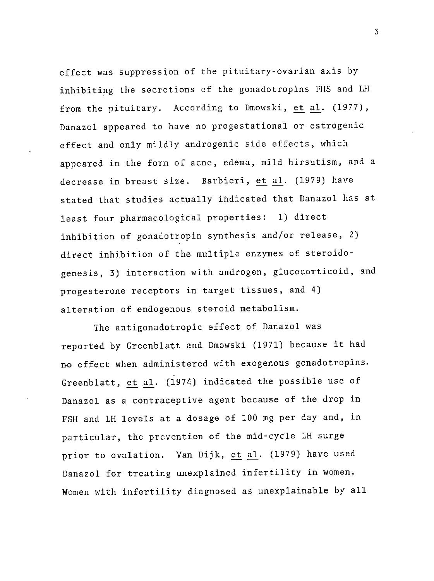effect was suppression of the pituitary-ovarian axis by inhibiting the secretions of the gonadotropins FHS and LH from the pituitary. According to Dmowski, et al. (1977), Danazol appeared to have no progestational or estrogenic effect and only mildly androgenic side effects, which appeared in the form of acne, edema, mild hirsutism, and a decrease in breast size. Barbieri, et al. (1979) have stated that studies actually indicated that Danazol has at least four pharmacological properties: 1) direct inhibition of gonadotropin synthesis and/or release, 2) direct inhibition of the multiple enzymes of steroidogenesis, 3) interaction with androgen, glucocorticoid, and progesterone receptors in target tissues, and 4) alteration bf endogenous steroid metabolism.

The antigonadotropic effect of Danazol was reported by Greenblatt and Dmowski (1971) because it had no effect when administered with exogenous gonadotropins. Greenblatt, et al. (1974) indicated the possible use of Danazol as a contraceptive agent because of the drop in FSH and LH levels at a dosage of 100 mg per day and, in particular, the prevention of the mid-cycle LH surge prior to ovulation. Van Dijk, et al. (1979) have used Danazol for treating unexplained infertility in women. Women with infertility diagnosed as unexplainable by all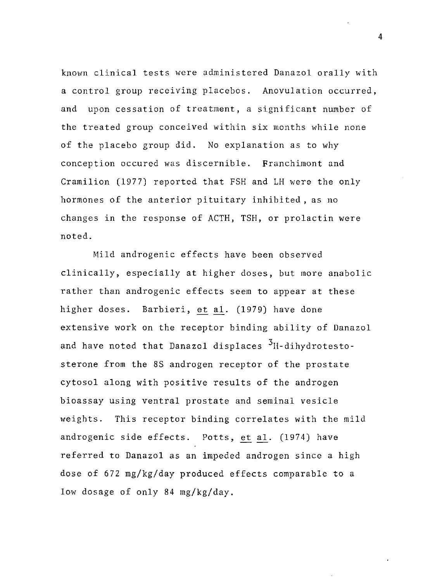known clinical tests were administered Danazol orally with a control group receiving placebos. Anovulation occurred, and upon cessation of treatment, a significant number of the treated group conceived within six months while none of the placebo group did. No explanation as to why conception occured was discernible. Franchimont and Cramilion (1977) reported that FSH and LH were the only hormones of the anterior pituitary inhibited, as no changes in the response of ACTH, TSH, or prolactin were noted.

Mild androgenic effects have been observed clinically, especially at higher doses, but more anabolic rather than androgenic effects seem to appear at these higher doses. Barbieri, et al. (1979) have done extensive work on the receptor binding ability of Danazol and have noted that Danazol displaces <sup>3</sup>H-dihydrotestosterone from the 8S androgen receptor of the prostate cytosol along with positive results of the androgen bioassay using ventral prostate and seminal vesicle weights. This receptor binding correlates with the mild androgenic side effects. Potts, et al. (1974) have referred to Danazol as an impeded androgen since a high dose of 672 mg/kg/day produced effects comparable to a low dosage of only 84 mg/kg/day.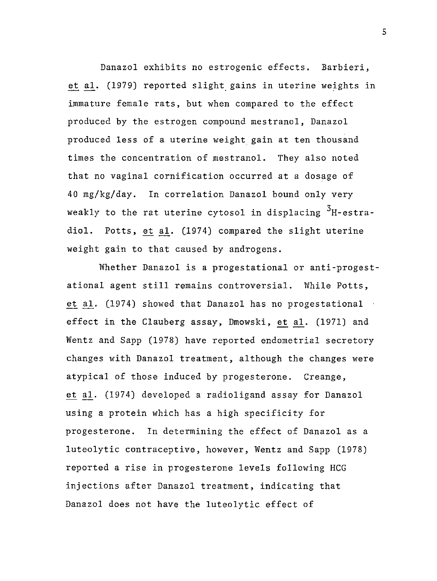Danazol exhibits no estrogenic effects. Barbieri, et al. (1979) reported slight gains in uterine weights in immature female rats, but when compared to the effect produced by the estrogen compound mestranol, Danazol produced less of a uterine weight gain at ten thousand times the concentration of mestranol. They also noted that no vaginal cornification occurred at a dosage of 40 mg/kg/day. In correlation Danazol bound only very weakly to the rat uterine cytosol in displacing  $3H$ -estradiol. Potts, et al. (1974) compared the slight uterine weight gain to that caused by androgens.

Whether Danazol is a progestational or anti-progestational agent still remains controversial. While Potts, et al. (1974) showed that Danazol has no progestational effect in the Clauberg assay, Dmowski, et al. (1971) and Wentz and Sapp (1978) have reported endometrial secretory changes with Danazol treatment, although the changes were atypical of those induced by progesterone. Creange, et al. (1974) developed a radioligand assay for Danazol using a protein which has a high specificity for progesterone. In determining the effect of Danazol as a luteolytic contraceptive, however, Wentz and Sapp (1978) reported a rise in progesterone levels following HCG injections after Danazol treatment, indicating that Danazol does not have the luteolytic effect of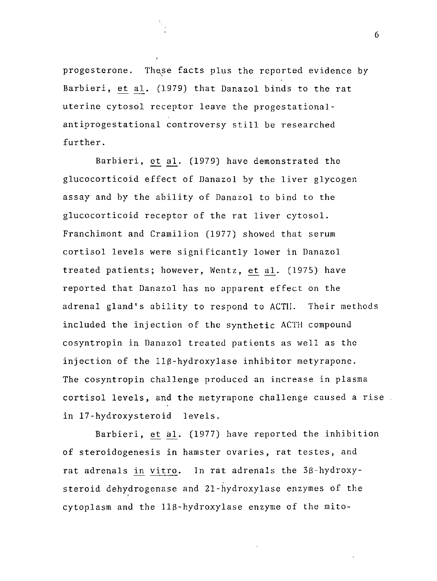progesterone. These facts plus the reported evidence by Barbieri, et al. (1979) that Danazol binds to the rat uterine cytosol receptor leave the progestationalantiprogestational controversy still be researched further.

Barbieri, et al. (1979) have demonstrated the glucocorticoid effect of Danazol by the liver glycogen assay and by the ability of Danazol to bind to the glucocorticoid receptor of the rat liver cytosol. Franchimont and Cramilion (1977) showed that serum cortisol levels were significantly lower in Danazol treated patients; however, Wentz, et al. (1975) have reported that Danazol has no apparent effect on the adrenal gland's ability to respond to ACT!!. Their methods included the injection of the synthetic ACTH compound cosyntropin in Danazol treated patients as well as the injection of the 118-hydroxylase inhibitor metyrapone. The cosyntropin challenge produced an increase in plasma cortisol levels, and the metyrapone challenge caused a rise in 17-hydroxysteroid levels.

Barbieri, et al. (1977) have reported the inhibition of steroidogenesis in hamster ovaries, rat testes, and rat adrenals in vitro. In rat adrenals the 38-hydroxysteroid dehydrogenase and 21-hydroxylase enzymes of the cytoplasm and the 118-hydroxylase enzyme of the mite-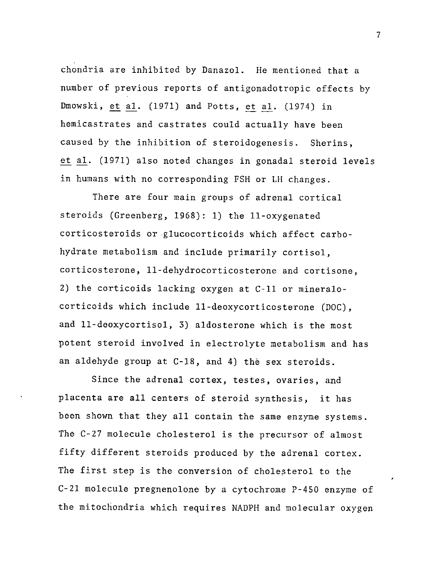chondria are inhibited by Danazol. He mentioned that a number of previous reports of antigonadotropic effects by Dmowski, et al. (1971) and Potts, et al. (1974) in hemicastrates and castrates could actually have been caused by the inhibition of steroidogenesis. Sherins, et al. (1971) also noted changes in gonadal steroid levels in humans with no corresponding FSH or LH changes.

There are four main groups of adrenal cortical steroids (Greenberg, 1968): 1) the 11-oxygenated corticosteroids or glucocorticoids which affect carbohydrate metabolism and include primarily cortisol, corticosterone, 11-dehydrocorticosterone and cortisone, 2) the corticoids lacking oxygen at C-11 or mineralocorticoids which include 11-deoxycorticosterone (DOC), and 11-deoxycortisol, 3) aldosterone which is the most potent steroid involved in electrolyte metabolism and has an aldehyde group at C-18, and 4) the sex steroids.

Since the adrenal cortex, testes, ovaries, and placenta are all centers of steroid synthesis, it has been shown that they all contain the same enzyme systems. The C-27 molecule cholesterol is the precursor of almost fifty different steroids produced by the adrenal cortex. The first step is the conversion of cholesterol to the C-21 molecule pregnenolone by a cytochrome P-450 enzyme of the mitochondria which requires NADPH and molecular oxygen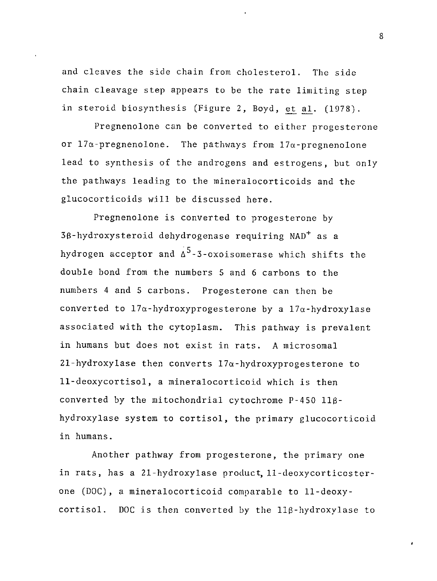and cleaves the side chain from cholesterol. The side chain cleavage step appears to be the rate limiting step in steroid biosynthesis (Figure 2, Boyd, et al. (1978).

Pregnenolone can be converted to either progesterone or  $17\alpha$ -pregnenolone. The pathways from  $17\alpha$ -pregnenolone lead to synthesis of the androgens and estrogens, but only the pathways leading to the mineralocorticoids and the glucocorticoids will be discussed here.

Pregnenolone is converted to progesterone by 38-hydroxysteroid dehydrogenase requiring NAD+ as a hydrogen acceptor and  $\Delta^5$ -3-oxoisomerase which shifts the double bond from the numbers 5 and 6 carbons to the numbers 4 and 5 carbons. Progesterone can then be converted to  $17\alpha$ -hydroxyprogesterone by a  $17\alpha$ -hydroxylase associated with the cytoplasm. This pathway is prevalent in humans but does not exist in rats. A microsomal  $21$ -hydroxylase then converts  $17\alpha$ -hydroxyprogesterone to 11-deoxycortisol, a mineralocorticoid which is then converted by the mitochondrial cytochrome P-450 118 hydroxylase system to cortisol, the primary glucocorticoid in humans.

Another pathway from progesterone, the primary one in rats, has a 21-hydroxylase product, 11-deoxycorticosterone (DOC), a mineralocorticoid comparable to 11-deoxycortisol. DOC is then converted by the 118-hydroxylase to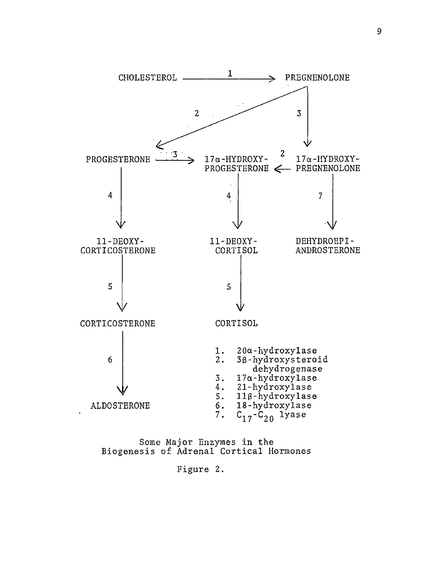

Some Major Enzymes in the Biogenesis of Adrenal Cortical Hormones

Figure 2.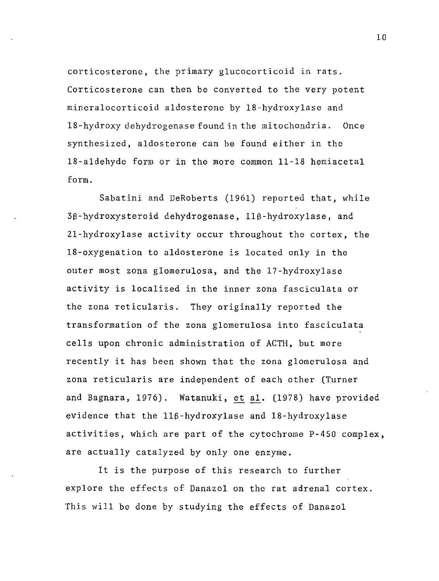corticosterone, the primary glucocorticoid in rats. Corticosterone can then be converted to the very potent mineralocorticoid aldosterone by 18-hydroxylase and 18-hydroxy dehydrogenase found in the mitochondria. Once synthesized, aldosterone can be found either in the 18-aldehyde form or in the more common 11-18 hemiacetal form.

Sabatini and DeRoberts (1961) reported that, while 3S-hydroxysteroid dehydrogenase, llS-hydroxylase, and 21-hydroxylase activity occur throughout the cortex, the 18-oxygenation to aldosterone is located only in the outer most zona glomerulosa, and the 17-hydroxylase activity is localized in the inner zona fasciculata or the zona reticularis. They originally reported the transformation of the zona glomerulosa into fasciculata cells upon chronic administration of ACTH, but more recently it has been shown that the zona glomerulosa and zona reticularis are independent of each other (Turner and Bagnara, 1976). Watanuki, et al. (1978) have provided evidence that the llS-hydroxylase and 18-hydroxylase activities, which are part of the cytochrome P-450 complex, are actually catalyzed by only one enzyme.

It is the purpose of this research to further explore the effects of Danazol on the rat adrenal cortex. This will be done by studying the effects of Danazol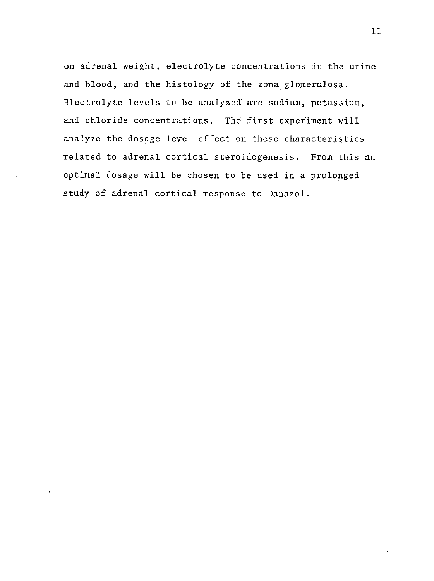on adrenal weight, electrolyte concentrations in the urine and blood, and the histology of the zona glomerulosa. Electrolyte levels to .be analyzed are sodium, potassium, and chloride concentrations. The first experiment will analyze the dosage level effect on these characteristics related to adrenal cortical steroidogenesis. From this an optimal dosage will be chosen to be used in a prolonged study of adrenal cortical response to Danazol.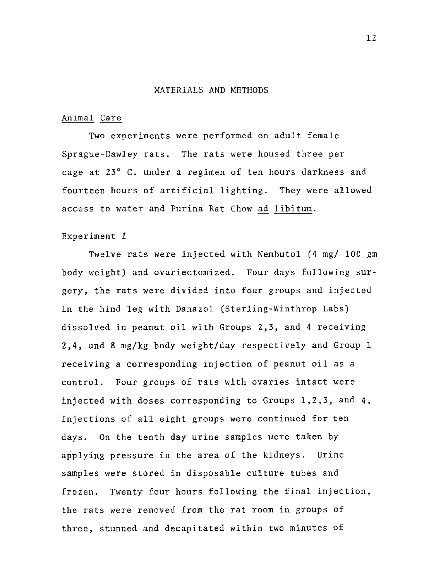#### MATERIALS AND METHODS

#### Animal Care

Two experiments were performed on adult female Sprague-Dawley rats. The rats were housed three per cage at 23° C. under a regimen of ten hours darkness and fourteen hours of artificial lighting. They were allowed access to water and Purina Rat Chow ad libitum.

#### Experiment I

Twelve rats were injected with Nembutal (4 mg/ 100 gm body weight) and ovariectomized. Four days following surgery, the rats were divided into four groups and injected in the hind leg with Danazol (Sterling-Winthrop Labs) dissolved in peanut oil with Groups 2,3, and 4 receiving 2,4, and 8 mg/kg body weight/day respectively and Group 1 receiving a corresponding injection of peanut oil as a control. Four groups of rats with ovaries intact were injected with doses corresponding to Groups 1,2,3, and 4. Injections of all eight groups were continued for ten days. On the tenth day urine samples were taken by applying pressure in the area of the kidneys. Urine samples were stored in disposable culture tubes and frozen. Twenty four hours following the final injection, the rats were removed from the rat room in groups of three, stunned and decapitated within two minutes of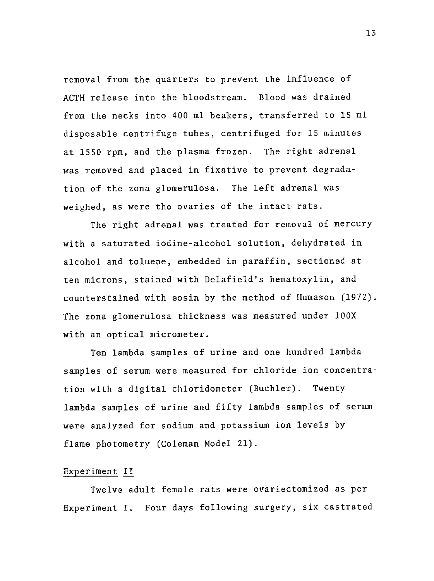removal from the quarters to prevent the influence of ACTH release into the bloodstream. Blood was drained from the necks into 400 ml beakers, transferred to 15 ml disposable centrifuge tubes, centrifuged for 15 minutes at 1550 rpm, and the plasma frozen. The right adrenal was removed and placed in fixative to prevent degradation of the zona glomerulosa. The left adrenal was weighed, as were the ovaries of the intact rats.

The right adrenal was treated for removal of mercury with a saturated iodine-alcohol solution, dehydrated in alcohol and toluene, embedded in paraffin, sectioned at ten microns, stained with Delafield's hematoxylin, and counterstained with eosin by the method of Humason (1972). The zona glomerulosa thickness was measured under l00X with an optical micrometer.

Ten lambda samples of urine and one hundred lambda samples of serum were measured for chloride ion concentration with a digital chloridometer (Buchler). Twenty lambda samples of urine and fifty lambda samples of serum were analyzed for sodium and potassium **ion** levels by flame photometry (Coleman Model 21).

#### Experiment *Il\_*

Twelve adult female rats were ovariectomized as per Experiment I. Four days following surgery, six castrated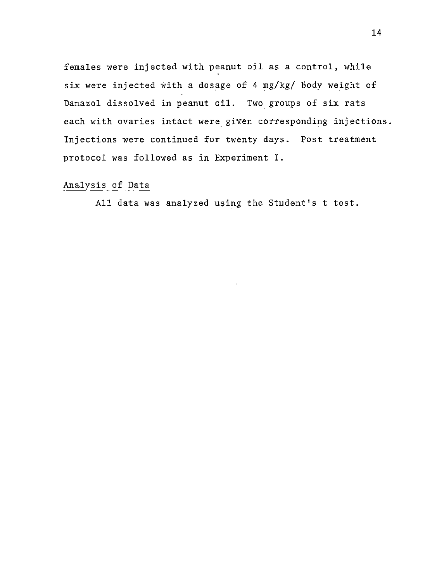females were injected with peanut oil as a control, while six were injected with a dosage of 4 mg/kg/ Body weight of Danazol dissolved in peanut oil. Two groups of six rats each with ovaries intact were given corresponding injections. Injections were continued for twenty days. Post treatment protocol was followed as in Experiment I.

### Analysis of Data

All data was analyzed using the Student's t test.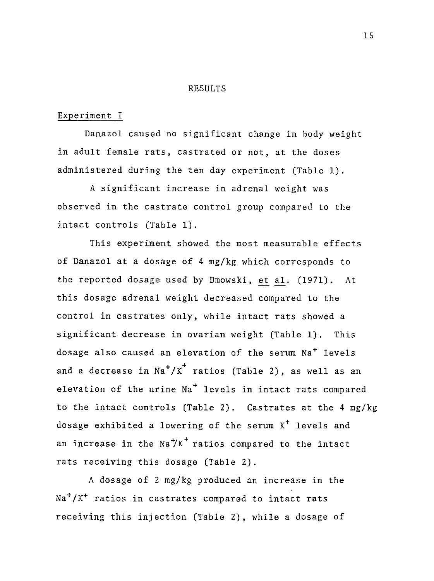#### RESULTS

#### Experiment I

Danazol caused no significant change in body weight in adult female rats, castrated or not, at the doses administered during the ten day experiment (Table 1).

A significant increase in adrenal weight was observed in the castrate control group compared to the intact controls (Table 1).

This experiment showed the most measurable effects of Danazol at a dosage of 4 mg/kg which corresponds to the reported dosage used by Dmowski, et al. (1971). At this dosage adrenal weight decreased compared to the control in castrates only, while intact rats showed a significant decrease in ovarian weight (Table 1). This dosage also caused an elevation of the serum Na<sup>+</sup> levels and a decrease in  $\text{Na}^+/K^+$  ratios (Table 2), as well as an elevation of the urine  $Na<sup>+</sup>$  levels in intact rats compared to the intact controls (Table 2). Castrates at the 4 mg/kg dosage exhibited a lowering of the serum K<sup>+</sup> levels and an increase in the  $\text{Na}^+\text{K}^+$  ratios compared to the intact rats receiving this dosage (Table 2).

A dosage of 2 mg/kg produced an increase in the  $Na<sup>+</sup>/K<sup>+</sup>$  ratios in castrates compared to intact rats receiving this injection (Table 2), while a dosage of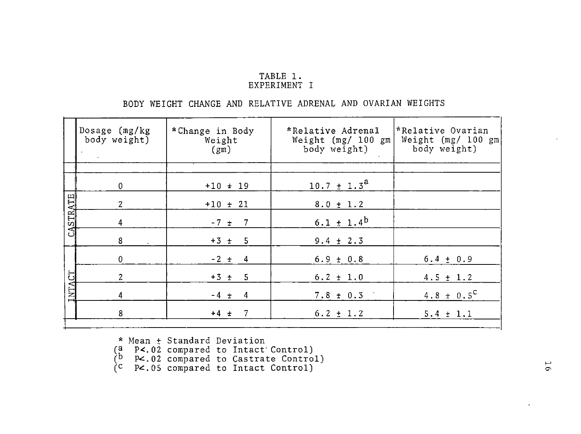### TABLE 1. EXPERIMENT I

## BODY WEIGHT CHANGE AND RELATIVE ADRENAL AND OVARIAN WEIGHTS

|                 | Dosage $(mg/kg)$<br>body weight) | *Change in Body<br>Weight<br>(gm) | *Relative Adrenal<br>Weight $(mg/ 100 gm)$<br>body weight) | *Relative Ovarian<br>Weight $(mg/ 100 gm)$<br>body weight) |
|-----------------|----------------------------------|-----------------------------------|------------------------------------------------------------|------------------------------------------------------------|
|                 |                                  |                                   |                                                            |                                                            |
|                 | 0                                | $+10 + 19$                        | $10.7 \pm 1.3^{\text{a}}$                                  |                                                            |
|                 | $\mathbf{2}$                     | $+10 + 21$                        | $8.0 \pm 1.2$                                              |                                                            |
| <b>CASTRATE</b> | $\overline{4}$                   | $-7 + 7$                          | $6.1 \pm 1.4^b$                                            |                                                            |
|                 | 8                                | $+3 + 5$                          | $9.4 \pm 2.3$                                              |                                                            |
|                 | $\mathbf 0$                      | $-2 + 4$                          | $6.9 \pm 0.8$                                              | $6.4 \pm 0.9$                                              |
| 5               | $\overline{c}$                   | $+3 + 5$                          | $6.2 \pm 1.0$                                              | $4.5 \pm 1.2$                                              |
| $\Sigma$        | 4                                | $-4 \pm 4$                        | $7.8 \pm 0.3$                                              | 4.8 $\pm$ 0.5 <sup>C</sup>                                 |
|                 | 8                                | $+4 + 7$                          | $6.2 \pm 1.2$                                              | $5.4 \pm 1.1$                                              |

\*Mean± Standard Deviation

(a P<.02 compared to Intact· Control)

 $(b \t P2.02$  compared to Castrate Control)

 $\tilde{C}$  P $\leq$ .05 compared to Intact Control)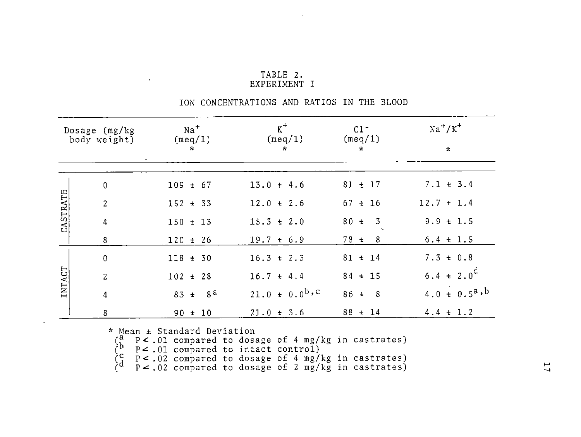| TABLE 2.   |  |
|------------|--|
| EXPERIMENT |  |

|  |  | ION CONCENTRATIONS AND RATIOS IN THE BLOOD |  |  |  |  |  |
|--|--|--------------------------------------------|--|--|--|--|--|
|--|--|--------------------------------------------|--|--|--|--|--|

| Dosage $(mg/kg)$<br>body weight) |                | Na <sup>+</sup><br>(meq/1)<br>$\star$ | $K^+$<br>(meq/1)<br>$\star$ | $C1$ <sup>-</sup><br>(meq/1)<br>$\star$ | $Na^+/K^+$<br>$\star$ |
|----------------------------------|----------------|---------------------------------------|-----------------------------|-----------------------------------------|-----------------------|
|                                  | $\pmb{0}$      | $109 \pm 67$                          | $13.0 \pm 4.6$              | $81 + 17$                               | $7.1 \pm 3.4$         |
| CASTRATE                         | $\overline{2}$ | $152 \pm 33$                          | $12.0 \pm 2.6$              | $67 \pm 16$                             | $12.7 \pm 1.4$        |
|                                  | 4              | $150 \pm 13$                          | $15.3 \pm 2.0$              | $80 \pm 3$                              | $9.9 \pm 1.5$         |
|                                  | 8              | $120 + 26$                            | $19.7 \pm 6.9$              | $78 \pm 8$                              | $6.4 \pm 1.5$         |
|                                  | $\mathbf 0$    | $118 + 30$                            | $16.3 + 2.3$                | $81 + 14$                               | $7.3 \pm 0.8$         |
| INTACT                           | $\overline{2}$ | $102 + 28$                            | $16.7 + 4.4$                | $84 \pm 15$                             | $6.4 \pm 2.0^d$       |
|                                  | 4              | $83 + 8^a$                            | $21.0 \pm 0.0^{b,c}$        | $86 \pm 8$                              | $4.0 \pm 0.5^a$ , b   |
|                                  | 8              | $90 + 10$                             | $21.0 \pm 3.6$              | $88 + 14$                               | $4.4 \pm 1.2$         |

\* Mean± Standard Deviation

 $\binom{a}{b}$  P < .01 compared to dosage of 4 mg/kg in castrates)  $\begin{pmatrix} b & p & c & 0 \\ c & p & c & 0 \end{pmatrix}$  compared to intact control)  $C_A^C$  p < .02 compared to dosage of 4 mg/kg in castrates)

 $\begin{pmatrix} d & p & c & 0 \\ 0 & p & c & 0 \\ 0 & 0 & 0 \end{pmatrix}$  compared to dosage of 2 mg/kg in castrates)

 $\mathcal{I}$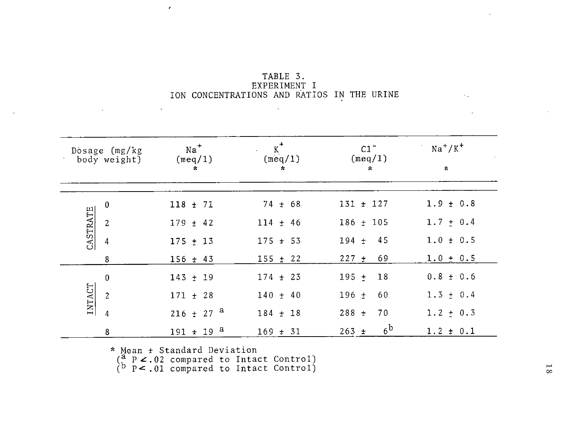|                                            | TABLE 3. |              |  |  |
|--------------------------------------------|----------|--------------|--|--|
|                                            |          | EXPERIMENT I |  |  |
| ION CONCENTRATIONS AND RATIOS IN THE URINE |          |              |  |  |

 $\sim$ 

|          | Dosage (mg/kg<br>body weight) | $Na+$<br>(meq/1)<br>$\star$ | $K^+$<br>(meq/1)<br>$\star$ | $C1$ <sup>-</sup><br>(meq/1)<br>$\approx$ | $Na+/K+$<br>$\star$ |
|----------|-------------------------------|-----------------------------|-----------------------------|-------------------------------------------|---------------------|
|          | $\overline{0}$                | $118 + 71$                  | $74 \pm 68$                 | $131 + 127$                               | $1.9 \pm 0.8$       |
| CASTRATE | $\overline{c}$                | $179 \pm 42$                | $114 \pm 46$                | $186 + 105$                               | $1.7 \pm 0.4$       |
|          | $\overline{4}$                | $175 + 13$                  | $175 + 53$                  | 45<br>$194 \pm$                           | $1.0 \pm 0.5$       |
|          | 8                             | $156 \pm 43$                | $155 \pm 22$                | $227 +$<br>69                             | $1.0 \pm 0.5$       |
|          | $\mathbf 0$                   | $143 \pm 19$                | $174 \pm 23$                | 18<br>$195 +$                             | $0.8 \pm 0.6$       |
| INTACT   | $\overline{c}$                | $171 \pm 28$                | $140 + 40$                  | 60<br>$196 \pm$                           | $1.3 \pm 0.4$       |
|          | $\overline{4}$                | $216 \pm 27$ <sup>a</sup>   | $184 \pm 18$                | 70<br>$288 +$                             | $1.2 \pm 0.3$       |
|          | 8                             | $191 \pm 19$ <sup>a</sup>   | $169 \pm 31$                | 6 <sup>b</sup><br>$263 +$                 | $1.2 \pm 0.1$       |

\* Mean + Standard Deviation

 $\mathcal{E}$ 

 $\mathbf{v}$ 

 $\sim 100$ 

 $\left(\begin{matrix} a & p \\ k & p \end{matrix}\right)$   $\leq$  02 compared to Intact Control)

 $(b \t P<.01$  compared to Intact Control)  $\mathcal{L}^{\pm}$ 

 $\sim 10^{11}$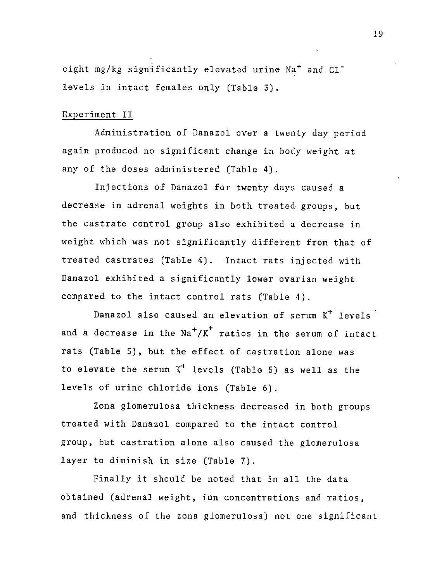eight mg/kg significantly elevated urine Na<sup>+</sup> and Cl<sup>-</sup> levels in intact females only (Table 3).

#### Experiment II

Administration of Danazol over a twenty day period again produced no significant change in body weight at any of the doses administered (Table 4).

Injections of Danazol for twenty days caused a decrease in adrenal weights in both treated groups, but the castrate control group also exhibited a decrease in weight which was not significantly different from that of treated castrates (Table 4). Intact rats injected with Danazol exhibited a significantly lower ovarian weight compared to the intact control rats (Table 4).

Danazol also caused an elevation of serum  $K^+$  levels and a decrease in the  $\text{Na}^+/\text{K}^+$  ratios in the serum of intact rats (Table S), but the effect of castration alone was to elevate the serum  $K^+$  levels (Table 5) as well as the levels of urine chloride ions (Table 6).

Zona glomerulosa thickness decreased in both groups treated with Danazol compared to the intact control group, but castration alone also caused the glomerulosa layer to diminish in size (Table 7).

Finally it should be noted that in all the data obtained (adrenal weight, ion concentrations and ratios, and thickness of the zona glomerulosa) not one significant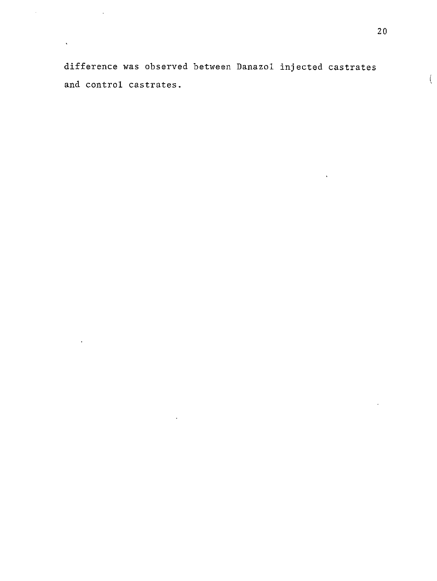difference was observed between Danazol injected castrates and control castrates.

 $\hat{\mathcal{A}}$ 

 $\hat{\mathbf{v}}$ 

 $\sim$ 

 $\left($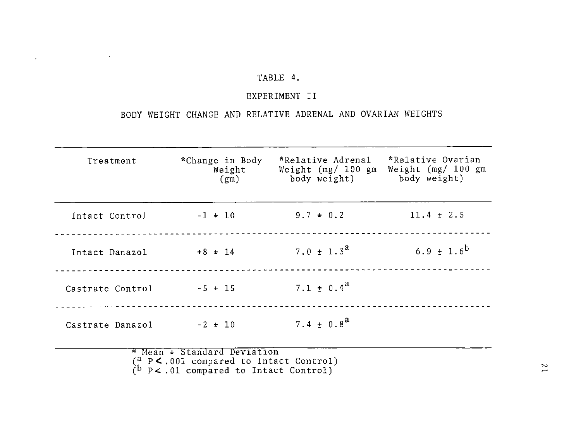## TABLE 4.

 $\label{eq:2.1} \frac{1}{2} \int_{\mathbb{R}^3} \left| \frac{1}{\sqrt{2}} \left( \frac{1}{\sqrt{2}} \right) \right|^2 \, \mathrm{d} \mathcal{L} \, \mathrm{d} \mathcal{L} \, \mathrm{d} \mathcal{L} \, \mathrm{d} \mathcal{L} \, \mathrm{d} \mathcal{L} \, \mathrm{d} \mathcal{L} \, \mathrm{d} \mathcal{L} \, \mathrm{d} \mathcal{L} \, \mathrm{d} \mathcal{L} \, \mathrm{d} \mathcal{L} \, \mathrm{d} \mathcal{L} \, \mathrm{d} \mathcal{L} \, \$ 

## EXPERIMENT II

## BODY WEIGHT CHANGE AND RELATIVE ADRENAL AND OVARIAN WEIGHTS

| Treatment        | *Change in Body<br>Weight<br>(gm) | *Relative Adrenal<br>Weight (mg/ 100 gm<br>body weight) body weight) | *Relative Ovarian<br>Weight $(mg/ 100 \, \text{gm})$ |
|------------------|-----------------------------------|----------------------------------------------------------------------|------------------------------------------------------|
| Intact Control   | $-1 + 10$                         | $9.7 \pm 0.2$                                                        | $11.4 \pm 2.5$                                       |
| Intact Danazol   | $+8 \pm 14$                       | $7.0 \pm 1.3^2$                                                      | 6.9 $\pm$ 1.6 <sup>b</sup>                           |
| Castrate Control | $-5 + 15$                         | $7.1 + 0.4^a$                                                        |                                                      |
| Castrate Danazol | $-2 + 10$                         | 7.4 $\pm$ 0.8 <sup>a</sup>                                           |                                                      |
|                  | * Mean + Standard Deviation       |                                                                      |                                                      |

 $(b \tP<.01$  compared to Intact Control)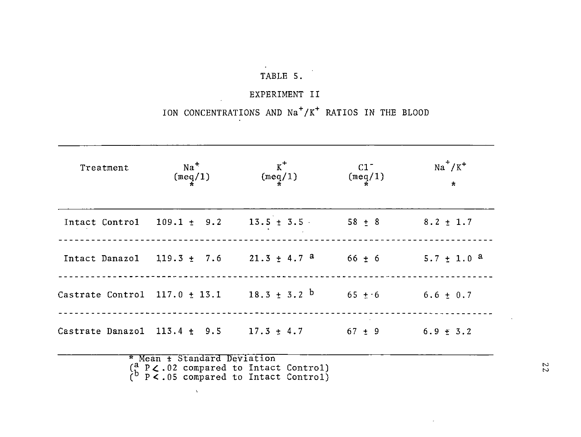# TABLE 5.

# EXPERIMENT II

# ION CONCENTRATIONS AND Na<sup>+</sup>/K<sup>+</sup> RATIOS IN THE BLOOD

| Treatment | Na <sup>+</sup><br>$(\text{meg}/1)$ | $K^+$<br>(meq/1)                                                         | $C1$ <sup>-</sup><br>$(\text{meq}/1)$ | $Na^+/K^+$<br>$\star$      |
|-----------|-------------------------------------|--------------------------------------------------------------------------|---------------------------------------|----------------------------|
|           |                                     | Intact Control $109.1 \pm 9.2$ $13.5 \pm 3.5$ 58 $\pm 8$                 |                                       | $8.2 \pm 1.7$              |
|           |                                     | Intact Danazol $119.3 \pm 7.6$ 21.3 $\pm$ 4.7 <sup>a</sup>               | $66 \pm 6$                            | $5.7 \pm 1.0$ <sup>a</sup> |
|           |                                     | Castrate Control 117.0 $\pm$ 13.1 18.3 $\pm$ 3.2 <sup>b</sup> 65 $\pm$ 6 |                                       | $6.6 \pm 0.7$              |
|           |                                     | Castrate Danazol $113.4 \pm 9.5$ $17.3 \pm 4.7$ 67 $\pm 9$               |                                       | $6.9 \pm 3.2$              |
|           | * Mean ± Standard Deviation         | $\binom{a}{1}$ P $\zeta$ .02 compared to Intact Control)                 |                                       |                            |

 $(b \overline{P} \times .05$  compared to Intact Control)

 $\Delta$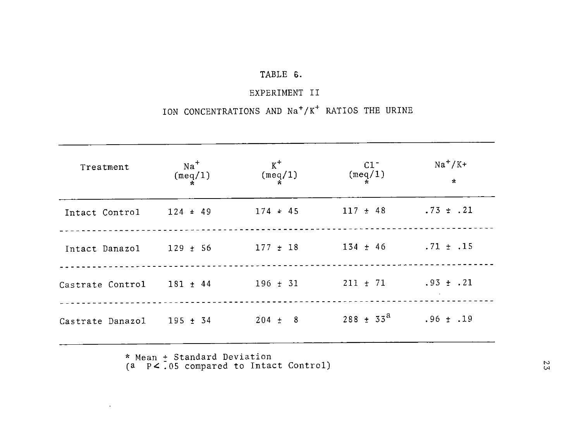## TABLE 6.

## EXPERIMENT II

# ION CONCENTRATIONS AND Na<sup>+</sup>/K<sup>+</sup> RATIOS THE URINE

| Treatment                 | $Na+$<br>$(\text{meq}/1)$ | $K^+$<br>(meq/1)          | C1<br>(meq/1)                | $Na+/K+$<br>$\star$ |
|---------------------------|---------------------------|---------------------------|------------------------------|---------------------|
| Intact Control            |                           | $124 \pm 49$ $174 \pm 45$ | $117 \pm 48$ . 73 $\pm$ . 21 |                     |
| Intact Danazol 129 ± 56   |                           | $177 \pm 18$              | $134 \pm 46$ . $71 \pm .15$  |                     |
| Castrate Control 181 ± 44 |                           | $196 \pm 31$              | $211 \pm 71$ . $93 \pm .21$  |                     |
| Castrate Danazol 195 ± 34 |                           | $204 \pm 8$               | $288 \pm 33^{\circ}$         | $.96 \pm .19$       |

\* Mean + Standard Deviation

 $\ddot{\phantom{a}}$ 

where  $\begin{array}{ll} \text{mean} & \text{standard} & \text{peraction} \\ \text{(a)} & \text{p} < .05 & \text{compared to Intact Control} \end{array}$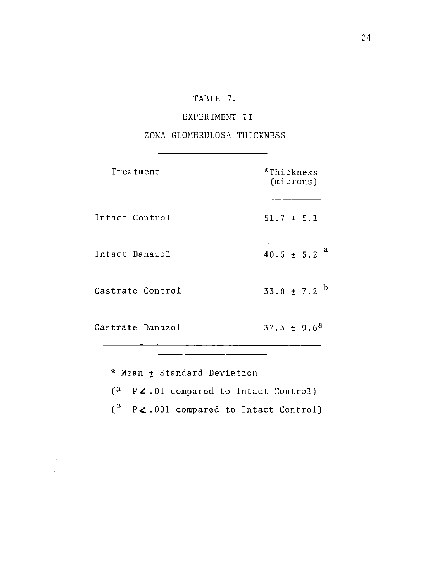## TABLE 7.

## EXPERIMENT II

## ZONA GLOMERULOSA THICKNESS

| Treatment        | *Thickness<br>(microns)     |
|------------------|-----------------------------|
| Intact Control   | $51.7 \pm 5.1$              |
| Intact Danazol   | $40.5 \pm 5.2$ <sup>a</sup> |
| Castrate Control | $33.0 \pm 7.2$ b            |
| Castrate Danazol | $37.3 \pm 9.6^a$            |
|                  |                             |

\* Mean  $\pm$  Standard Deviation  $\begin{bmatrix} a & p & c \\ 0 & 1 & c \\ 0 & 1 & 0 \end{bmatrix}$  compared to Intact Control)  $\begin{pmatrix} b & p & o & o & o \\ 0 & 0 & 1 & o & o & o \end{pmatrix}$  compared to Intact Control)

 $\hat{\mathcal{L}}$ 

 $\sim$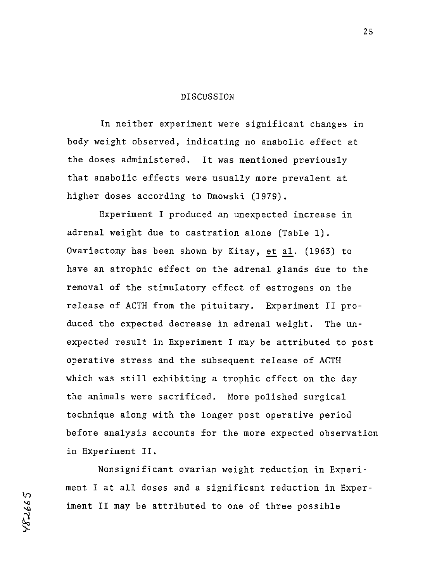#### DISCUSSION

In neither experiment were significant changes in body weight observed, indicating no anabolic effect at the doses administered. It was mentioned previously that anabolic effects were usually more prevalent at higher doses according to Dmowski (1979).

Experiment I produced an unexpected increase in adrenal weight due to castration alone (Table 1). Ovariectomy has been shown by Kitay, et al. (1963) to have an atrophic effect on the adrenal glands due to the removal of the stimulatory effect of estrogens on the release of ACTH from the pituitary. Experiment II produced the expected decrease in adrenal weight. The unexpected result in Experiment I may be attributed to post operative stress and the subsequent release of ACTH which was still exhibiting a trophic effect on the day the animals were sacrificed. More polished surgical technique along with the longer post operative period before analysis accounts for the more expected observation in Experiment II.

Nonsignificant ovarian weight reduction in Experiment I at all doses and a significant reduction in Experiment II may be attributed to one of three possible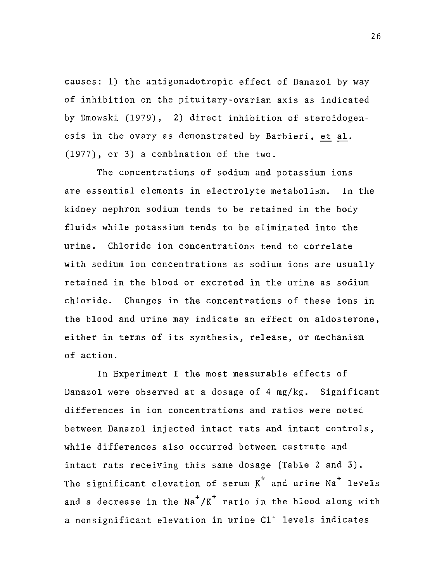causes: 1) the antigonadotropic effect of Danazol by way of inhibition on the pituitary-ovarian axis as indicated by Dmowski (1979), 2) direct inhibition of steroidogenesis in the ovary as demonstrated by Barbieri, et al. (1977), or 3) a combination of the two.

The concentrations of sodium and potassium ions are essential elements in electrolyte metabolism. In the kidney nephron sodium tends to be retained in the body fluids while potassium tends to be eliminated into the urine. Chloride ion concentrations tend to correlate with sodium ion concentrations as sodium ions are usually retained in the blood or excreted in the urine as sodium chloride. Changes in the concentrations of these ions in the blood and urine may indicate an effect on aldosterone, either in terms of its synthesis, release, or mechanism of action.

In Experiment I the most measurable effects of Danazol were observed at a dosage of 4 mg/kg. Significant differences in ion concentrations and ratios were noted between Danazol injected intact rats and intact controls, while differences also occurred between castrate and intact rats receiving this same dosage (Table 2 and 3). The significant elevation of serum  $K^+$  and urine Na<sup>+</sup> levels and a decrease in the  $\text{Na}^+/\text{K}^+$  ratio in the blood along with a nonsignificant elevation in urine C1<sup>-</sup> levels indicates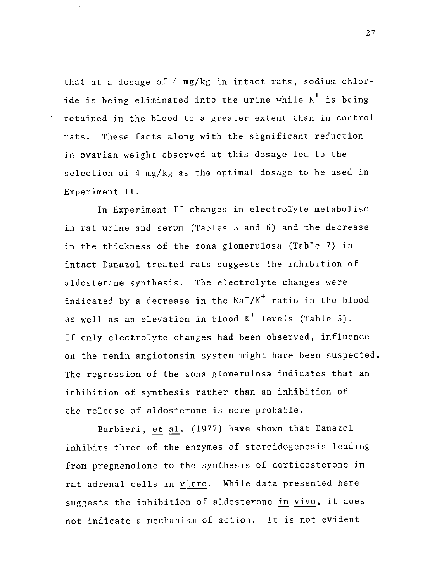that at a dosage of 4 mg/kg in intact rats, sodium chloride is being eliminated into the urine while  $K^+$  is being retained in the blood to a greater extent than in control rats. These facts along with the significant reduction in ovarian weight observed at this dosage led to the selection of 4 mg/kg as the optimal dosage to be used in Experiment II.

In Experiment II changes in electrolyte metabolism in rat urine and serum (Tables 5 and 6) and the decrease in the thickness of the zona glomerulosa (Table 7) in intact Danazol treated rats suggests the inhibition of aldosterone synthesis. The electrolyte changes were indicated by a decrease in the  $\text{Na}^+/ \text{K}^+$  ratio in the blood as well as an elevation in blood  $K^+$  levels (Table 5). If only electrolyte changes had been observed, influence on the renin-angiotensin system might have been suspected, The regression of the zona glomerulosa indicates that an inhibition of synthesis rather than an inhibition of the release of aldosterone is more probable.

Barbieri, et al. (1977) have shown that Danazol inhibits three of the enzymes of steroidogenesis leading from pregnenolone to the synthesis of corticosterone in rat adrenal cells in vitro. While data presented here suggests the inhibition of aldosterone in vivo, it does not indicate a mechanism of action. It is not evident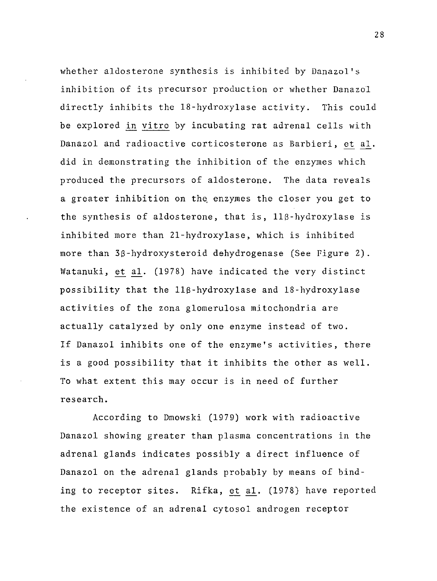whether aldosterone synthesis is inhibited by Danazol's inhibition of its precursor production or whether Danazol directly inhibits the 18-hydroxylase activity. This could be explored in vitro by incubating rat adrenal cells with Danazol and radioactive corticosterone as Barbieri, et al. did in demonstrating the inhibition of the enzymes which produced the precursors of aldosterone. The data reveals a greater inhibition on the, enzymes the closer you get to the synthesis of aldosterone, that is,  $11\beta$ -hydroxylase is inhibited more than 21-hydroxylase, which is inhibited more than 3S-hydroxysteroid dehydrogenase (See Figure 2). Watanuki, et al. (1978) have indicated the very distinct possibility that the llS-hydroxylase and 18-hydroxylase activities of the zona glomerulosa mitochondria are actually catalyzed by only one enzyme instead of two. If Danazol inhibits one of the enzyme's activities, there is a good possibility that it inhibits the other as well. To what extent this may occur is in need of further research.

According to Dmowski (1979) work with radioactive Danazol showing greater than plasma concentrations in the adrenal glands indicates possibly a direct influence of Danazol on the adrenal glands probably by means of binding to receptor sites. Rifka, et al. (1978) have reported the existence of an adrenal cytosol androgen receptor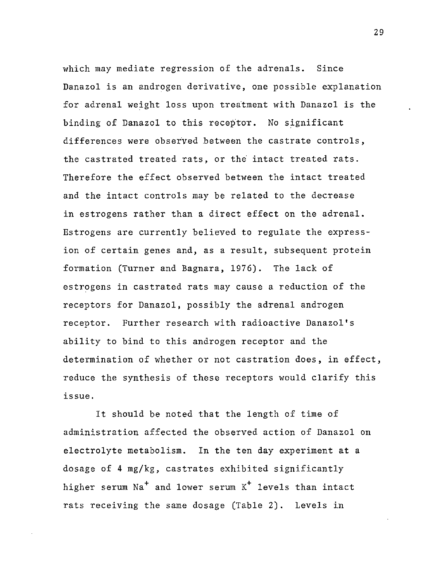which may mediate regression of the adrenals. Since Danazol is an androgen derivative, one possible explanation for adrenal weight loss upon treatment with Danazol is the binding of Danazol to this receptor. No significant differences were observed between the castrate controls, the castrated treated rats, or the intact treated rats. Therefore the effect observed between the intact treated and the intact controls may be related to the decrease in estrogens rather than a direct effect on the adrenal. Estrogens are currently believed to regulate the expression of certain genes and, as a result, subsequent protein formation (Turner and Bagnara, 1976). The lack of estrogens in castrated rats may cause a reduction of the receptors for Danazol, possibly the adrenal androgen receptor. Further research with radioactive Danazol's ability to bind to this androgen receptor and the determination of whether or not castration does, in effect, reduce the synthesis of these receptors would clarify this issue.

It should be noted that the length of time of administration affected the observed action of Danazol on electrolyte metabolism. In the ten day experiment at a dosage of 4 mg/kg, castrates exhibited significantly higher serum  $Na<sup>+</sup>$  and lower serum  $K<sup>+</sup>$  levels than intact rats receiving the same dosage (Table 2). Levels in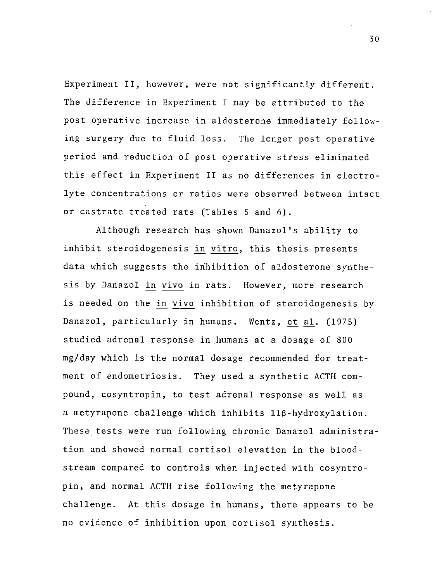Experiment II, however, were not significantly different. The difference in Experiment I may be attributed to the post operative increase in aldosterone immediately following surgery due to fluid loss. The longer post operative period and reduction of post operative stress eliminated this effect in Experiment II as no differences in electrolyte concentrations or ratios were observed between intact or castrate treated rats (Tables 5 and 6).

Although research has shown Danazol's ability to inhibit steroidogenesis in vitro, this thesis presents data which suggests the inhibition of aldosterone synthesis by Danazol in vivo in rats. However, more research is needed on the in vivo inhibition of steroidogenesis by Danazol, particularly in humans. Wentz, et al. (1975) studied adrenal response in.humans at a dosage of 800 mg/day which is the normal dosage recommended for treatment of endometriosis. They used a synthetic ACTH compound, cosyntropin, to test adrenal response as well as a metyrapone challenge which inhibits llS-hydroxylation. These tests were run following chronic Danazol administration and showed normal cortisol elevation in the bloodstream compared to controls when injected with cosyntropin, and normal ACTH rise following the metyrapone challenge. At this dosage in humans, there appears to be no evidence of inhibition upon cortisol synthesis.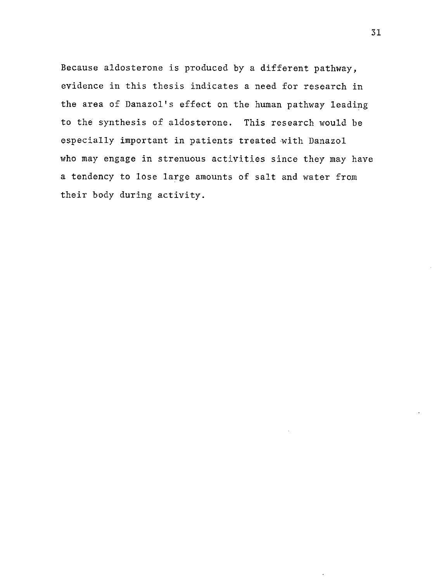Because aldosterone is produced by a different pathway, evidence in this thesis indicates a need for research in the area of Danazol's effect on the human pathway leading to the synthesis of aldosterone. This research would be especially important in patients treated with Danazol who may engage in strenuous activities since they may have a tendency to lose large amounts of salt and water from their body during activity.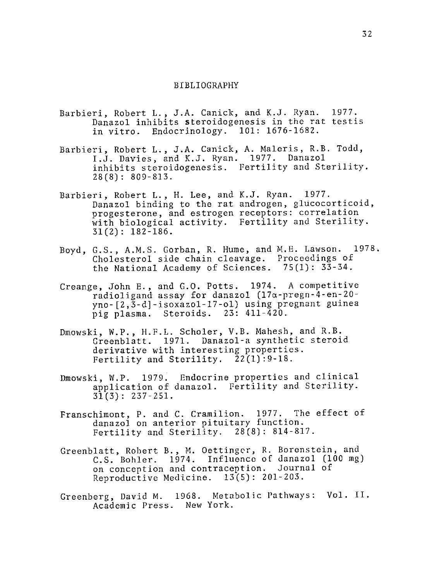#### BIBLIOGRAPHY

- Barbieri, Robert L., J.A. Canick, and K.J. Ryan. 1977. Danazol inhibits steroidogenesis in the rat testis in vitro. Endocrinology. 101: 1676-1682.
- Barbieri, Robert L., J.A. Canick, A. Maleris, R.B. Todd, I.J. Davies, and K.J. Ryan. 1977. Danazol inhibits steroidogenesis. Fertility and Sterility. 28(8): 809-813.
- Barbieri, Robert L., H. Lee, and K.J. Ryan. 1977. Danazol binding to the rat androgen, glucocorticoid, progesterone, and estrogen receptors: correlation with biological activity. Fertility and Sterility. 31 (2): 182-186.
- Boyd, G.S., A.M.S. Gorban, R. Hume, and M.E. Lawson. 1978. Cholesterol side chain cleavage. Proceedings of the National Academy of Sciences. 75(1): 33-34.
- Creange, John E., and G.O. Potts. 1974. A competitive radioligand assay for danazol (17a-pregn-4-en-20 yno-[2,3-d]-isoxazol-17-ol) using pregnant guinea pig plasma. Steroids. 23: 411-420.
- Dmowski, W.P., H.F.L. Scholer, V.B. Mahesh, and R.B. Greenblatt. 1971. Danazol-a synthetic steroid derivative with interesting properties. Fertility and Sterility. 22(1):9-18.
- Dmowski, W.P. 1979. Endocrine properties and clinical application of danazol. Fertility and Sterility.  $31(3): 237-251.$
- Franschimont, P. and C. Cramilion. 1977. The effect of danazol on anterior pituitary function. Fertility and Sterility. 28(8): 814-817.
- Greenblatt, Robert B., M. Oettinger, R. Borenstein, and C.S. Bohler. 1974. Influence of danazol (100 mg) on conception and contraception. Journal of Reproductive Medicine. 13(5): 201-203.
- Greenberg, David M. 1968. Metabolic Pathways: Vol. II. Academic Press. New York.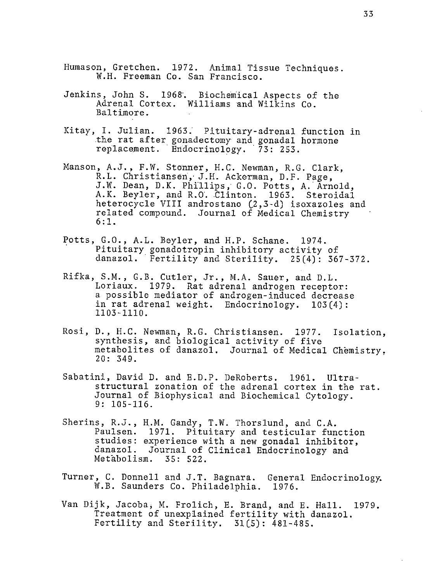- Humason, Gretchen. 1972. Animal Tissue Techniques. W.H. Freeman Co. San Francisco.
- Jenkins, John S. 1968·. Biochemical Aspects of the Adrenal Cortex. Williams and Wilkins Co. Baltimore.
- Kitay, I. Julian. 1963; Pituitary-adrenal function in .the rat after gonadectomy and gonadal hormone replacement. Endocrinology. 73: 253.
- Manson, A.J., F.W. Stonner, H.C. Newman, R.G. Clark, R.L. Christiansen, J.H. Ackerman, D.F. Page, J.W. Dean, D.K. Phillips, G.O. Potts, A. Arnold, A.K. Beyler, and R.O. Clinton. 1963. Steroidal heterocycle VIII androstano (2,3-d) isoxazoles and related compound. Journal of Medical Chemistry 6: 1.
- Potts, G.O., A.L. Beyler, and H.P. Schane. 1974.<br>Pituitary gonadotropin inhibitory activity of danazol. Fertility and Sterility.  $25(4)$ : 367-372.
- Rifka, S.M., G.B. Cutler, Jr., M.A. Sauer, and D.L. Loriaux. 1979. Rat adrenal androgen receptor: a possible mediator of androgen-induced decrease in rat adrenal weight. Endocrinology. 103(4): 1103-1110.
- Rosi, D., H.C. Newman, R.G. Christiansen. 1977. Isolation, synthesis, and biological activity of five metabolites of danazol. Journal of Medical Chemistry, 20: 349.
- Sabatini, David D. and E.D.P. DeRoberts. 1961. Ultrastructural zonation of the adrenal cortex in the rat. Journal of Biophysical and Biochemical Cytology. 9: 105-116.
- Sherins, R.J., H.M. Gandy, T.W. Thorslund, and C.A. Paulsen. 1971. Pituitary and testicular function studies: experience with a new gonadal inhibitor, danazol. Journal of Clinical Endocrinology and Metabolism. 35: 522.
- Turner, C. Donnell and J.T. Bagnara. General Endocrinology. W.B. Saunders Co. Philadelphia. 1976.
- Van Dijk, Jacoba; M. Frolich, E. Brand, and E. Hall. 1979. Treatment of unexplained fertility with danazol. Fertility and Sterility. 31(5): 481-485.